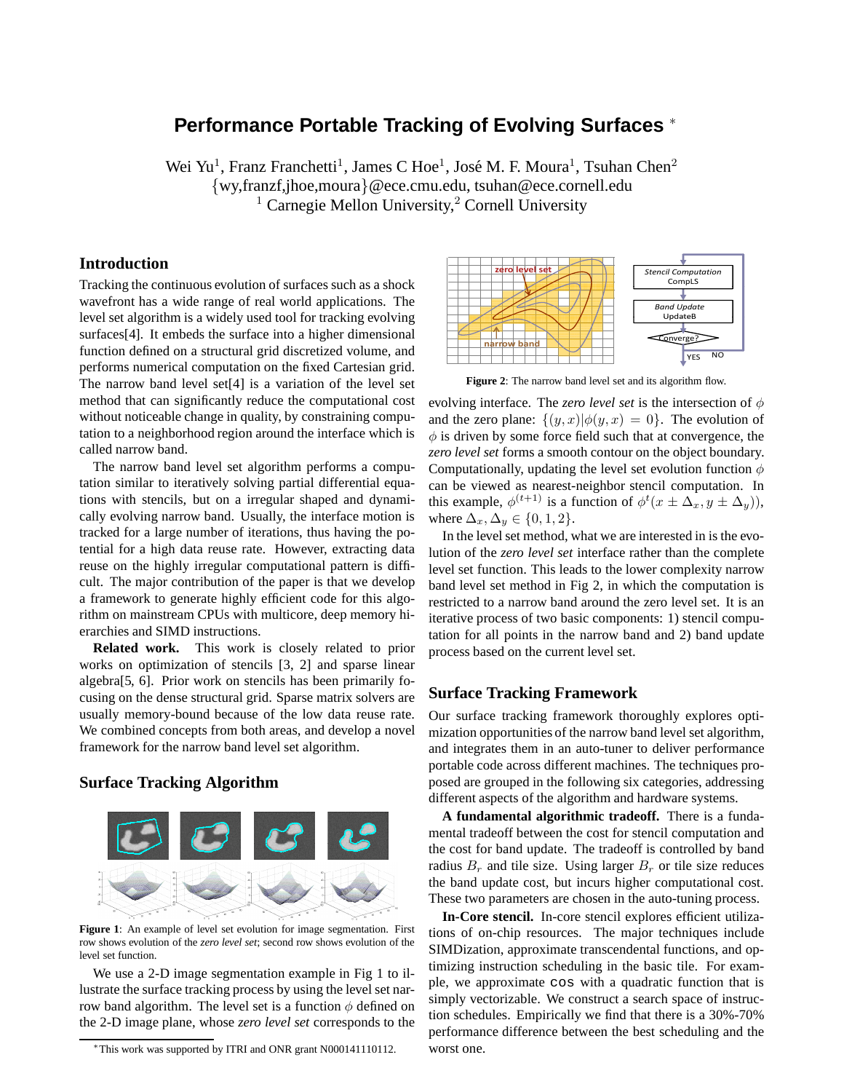# **Performance Portable Tracking of Evolving Surfaces** <sup>∗</sup>

Wei Yu<sup>1</sup>, Franz Franchetti<sup>1</sup>, James C Hoe<sup>1</sup>, José M. F. Moura<sup>1</sup>, Tsuhan Chen<sup>2</sup> {wy,franzf,jhoe,moura}@ece.cmu.edu, tsuhan@ece.cornell.edu <sup>1</sup> Carnegie Mellon University,<sup>2</sup> Cornell University

## **Introduction**

Tracking the continuous evolution of surfaces such as a shock wavefront has a wide range of real world applications. The level set algorithm is a widely used tool for tracking evolving surfaces[4]. It embeds the surface into a higher dimensional function defined on a structural grid discretized volume, and performs numerical computation on the fixed Cartesian grid. The narrow band level set[4] is a variation of the level set method that can significantly reduce the computational cost without noticeable change in quality, by constraining computation to a neighborhood region around the interface which is called narrow band.

The narrow band level set algorithm performs a computation similar to iteratively solving partial differential equations with stencils, but on a irregular shaped and dynamically evolving narrow band. Usually, the interface motion is tracked for a large number of iterations, thus having the potential for a high data reuse rate. However, extracting data reuse on the highly irregular computational pattern is difficult. The major contribution of the paper is that we develop a framework to generate highly efficient code for this algorithm on mainstream CPUs with multicore, deep memory hierarchies and SIMD instructions.

**Related work.** This work is closely related to prior works on optimization of stencils [3, 2] and sparse linear algebra[5, 6]. Prior work on stencils has been primarily focusing on the dense structural grid. Sparse matrix solvers are usually memory-bound because of the low data reuse rate. We combined concepts from both areas, and develop a novel framework for the narrow band level set algorithm.

#### **Surface Tracking Algorithm**



**Figure 1**: An example of level set evolution for image segmentation. First row shows evolution of the *zero level set*; second row shows evolution of the level set function.

We use a 2-D image segmentation example in Fig 1 to illustrate the surface tracking process by using the level set narrow band algorithm. The level set is a function  $\phi$  defined on the 2-D image plane, whose *zero level set* corresponds to the



**Figure 2**: The narrow band level set and its algorithm flow.

evolving interface. The *zero level set* is the intersection of  $\phi$ and the zero plane:  $\{(y, x)|\phi(y, x) = 0\}$ . The evolution of  $\phi$  is driven by some force field such that at convergence, the *zero level set* forms a smooth contour on the object boundary. Computationally, updating the level set evolution function  $\phi$ can be viewed as nearest-neighbor stencil computation. In this example,  $\phi^{(t+1)}$  is a function of  $\phi^t(x \pm \Delta_x, y \pm \Delta_y)$ , where  $\Delta_x, \Delta_y \in \{0, 1, 2\}.$ 

In the level set method, what we are interested in is the evolution of the *zero level set* interface rather than the complete level set function. This leads to the lower complexity narrow band level set method in Fig 2, in which the computation is restricted to a narrow band around the zero level set. It is an iterative process of two basic components: 1) stencil computation for all points in the narrow band and 2) band update process based on the current level set.

### **Surface Tracking Framework**

Our surface tracking framework thoroughly explores optimization opportunities of the narrow band level set algorithm, and integrates them in an auto-tuner to deliver performance portable code across different machines. The techniques proposed are grouped in the following six categories, addressing different aspects of the algorithm and hardware systems.

**A fundamental algorithmic tradeoff.** There is a fundamental tradeoff between the cost for stencil computation and the cost for band update. The tradeoff is controlled by band radius  $B_r$  and tile size. Using larger  $B_r$  or tile size reduces the band update cost, but incurs higher computational cost. These two parameters are chosen in the auto-tuning process.

**In-Core stencil.** In-core stencil explores efficient utilizations of on-chip resources. The major techniques include SIMDization, approximate transcendental functions, and optimizing instruction scheduling in the basic tile. For example, we approximate cos with a quadratic function that is simply vectorizable. We construct a search space of instruction schedules. Empirically we find that there is a 30%-70% performance difference between the best scheduling and the worst one.

<sup>∗</sup>This work was supported by ITRI and ONR grant N000141110112.